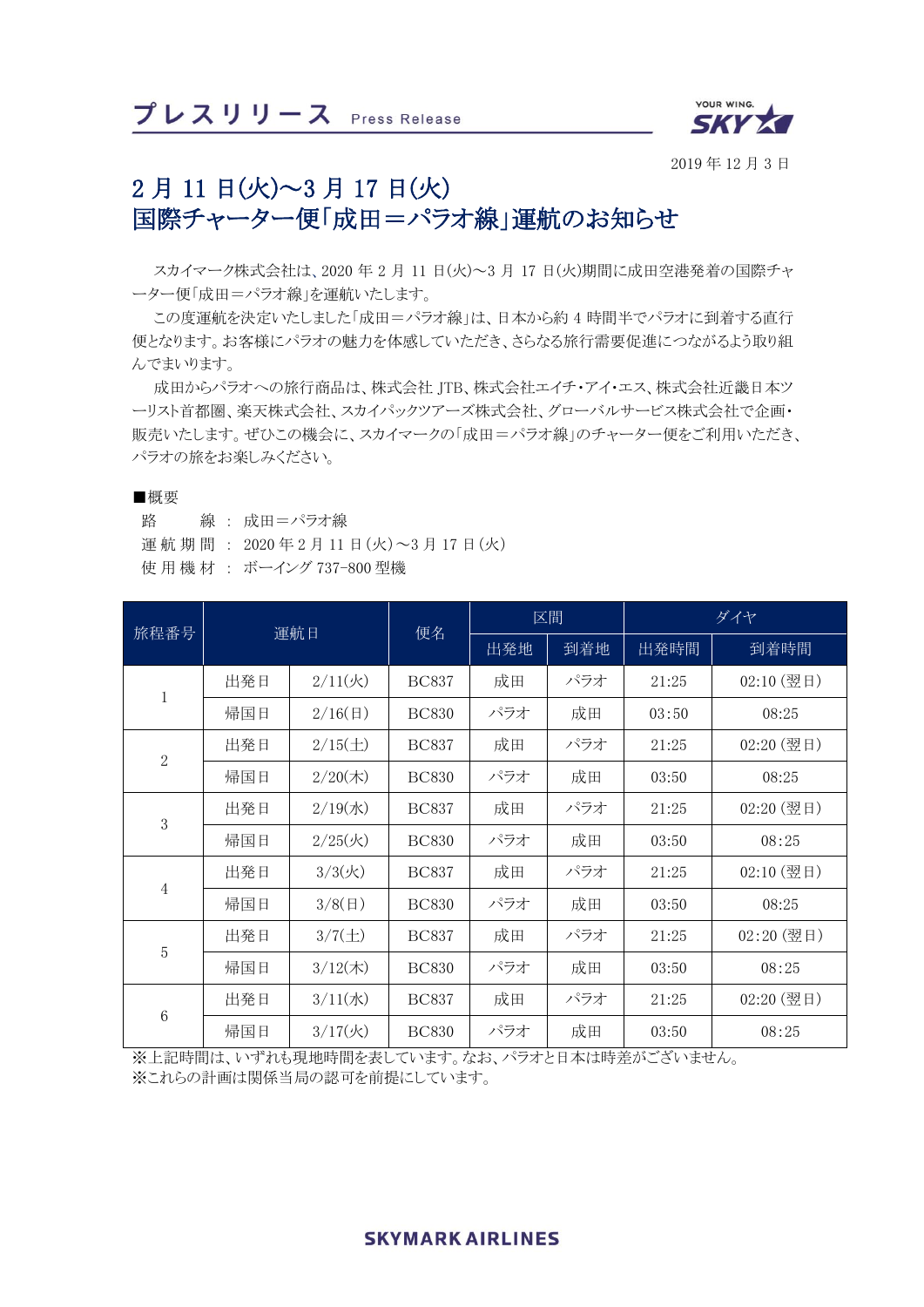

2019 年 12 月 3 日

# 2 月 11 日(火)~3 月 17 日(火) 国際チャーター便「成田=パラオ線」運航のお知らせ

スカイマーク株式会社は、2020 年 2 月 11 日(火)~3 月 17 日(火)期間に成田空港発着の国際チャ ーター便「成田=パラオ線」を運航いたします。

この度運航を決定いたしました「成田=パラオ線」は、日本から約 4 時間半でパラオに到着する直行 便となります。お客様にパラオの魅力を体感していただき、さらなる旅行需要促進につながるよう取り組 んでまいります。

成田からパラオへの旅行商品は、株式会社 JTB、株式会社エイチ・アイ・エス、株式会社近畿日本ツ ーリスト首都圏、楽天株式会社、スカイパックツアーズ株式会社、グローバルサービス株式会社で企画・ 販売いたします。ぜひこの機会に、スカイマークの「成田=パラオ線」のチャーター便をご利用いただき、 パラオの旅をお楽しみください。

#### ■概要

路 線 : 成田=パラオ線

運航期 間 : 2020 年 2 月 11 日(火)~3 月 17 日(火)

使用機 材 : ボーイング 737-800 型機

| 旅程番号           | 運航日 |                    | 便名           | 区間  |     | ダイヤ   |            |
|----------------|-----|--------------------|--------------|-----|-----|-------|------------|
|                |     |                    |              | 出発地 | 到着地 | 出発時間  | 到着時間       |
| $\,1$          | 出発日 | 2/11(x)            | <b>BC837</b> | 成田  | パラオ | 21:25 | 02:10 (翌日) |
|                | 帰国日 | 2/16(E)            | <b>BC830</b> | パラオ | 成田  | 03:50 | 08:25      |
| $\overline{2}$ | 出発日 | $2/15(\pm)$        | <b>BC837</b> | 成田  | パラオ | 21:25 | 02:20 (翌日) |
|                | 帰国日 | $2/20$ (木)         | <b>BC830</b> | パラオ | 成田  | 03:50 | 08:25      |
| $\sqrt{3}$     | 出発日 | $2/19($ 水 $)$      | <b>BC837</b> | 成田  | パラオ | 21:25 | 02:20 (翌日) |
|                | 帰国日 | $2/25$ (火)         | <b>BC830</b> | パラオ | 成田  | 03:50 | 08:25      |
| $\overline{4}$ | 出発日 | $3/3(\mathcal{K})$ | <b>BC837</b> | 成田  | パラオ | 21:25 | 02:10 (翌日) |
|                | 帰国日 | $3/8($ 日)          | <b>BC830</b> | パラオ | 成田  | 03:50 | 08:25      |
| $\sqrt{5}$     | 出発日 | $3/7(\pm)$         | <b>BC837</b> | 成田  | パラオ | 21:25 | 02:20 (翌日) |
|                | 帰国日 | $3/12$ (木)         | <b>BC830</b> | パラオ | 成田  | 03:50 | 08:25      |
| $\,6$          | 出発日 | $3/11($ 水 $)$      | <b>BC837</b> | 成田  | パラオ | 21:25 | 02:20 (翌日) |
|                | 帰国日 | 3/17(k)            | <b>BC830</b> | パラオ | 成田  | 03:50 | 08:25      |

※上記時間は、いずれも現地時間を表しています。なお、パラオと日本は時差がございません。

※これらの計画は関係当局の認可を前提にしています。

## **SKYMARK AIRLINES**